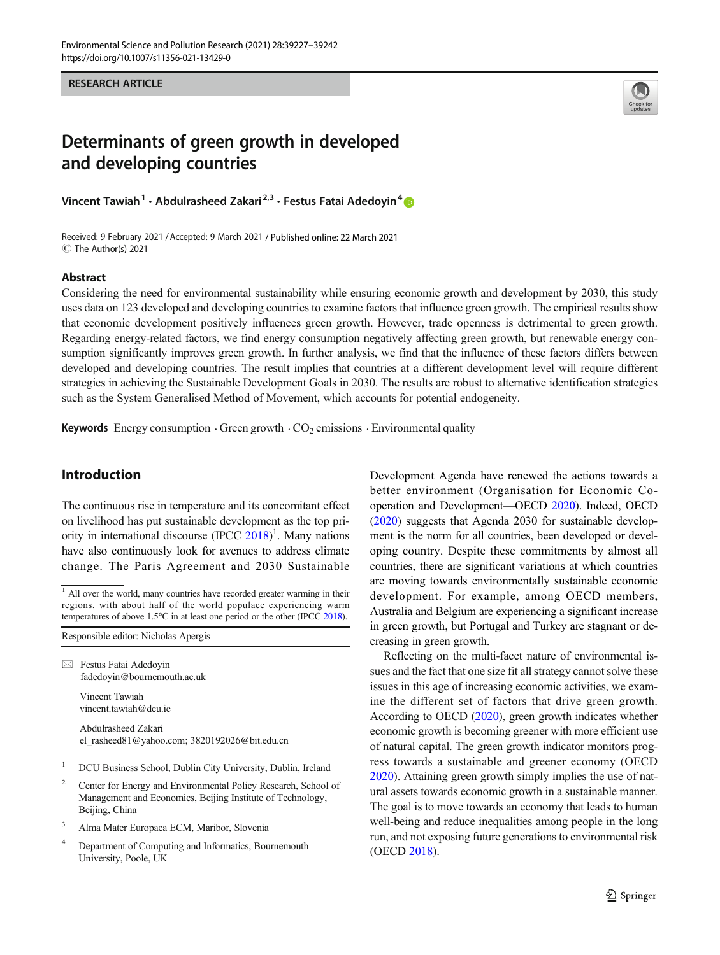RESEARCH ARTICLE



# Determinants of green growth in developed and developing countries

Vincent Tawiah<sup>1</sup> · Abdulrasheed Zakari<sup>2,3</sup> · Festus Fatai Adedoyin<sup>4</sup>

Received: 9 February 2021 /Accepted: 9 March 2021 / Published online: 22 March 2021 C The Author(s) 2021

#### Abstract

Considering the need for environmental sustainability while ensuring economic growth and development by 2030, this study uses data on 123 developed and developing countries to examine factors that influence green growth. The empirical results show that economic development positively influences green growth. However, trade openness is detrimental to green growth. Regarding energy-related factors, we find energy consumption negatively affecting green growth, but renewable energy consumption significantly improves green growth. In further analysis, we find that the influence of these factors differs between developed and developing countries. The result implies that countries at a different development level will require different strategies in achieving the Sustainable Development Goals in 2030. The results are robust to alternative identification strategies such as the System Generalised Method of Movement, which accounts for potential endogeneity.

Keywords Energy consumption  $\cdot$  Green growth  $\cdot$  CO<sub>2</sub> emissions  $\cdot$  Environmental quality

## Introduction

The continuous rise in temperature and its concomitant effect on livelihood has put sustainable development as the top pri-ority in international discourse (IPCC [2018\)](#page-14-0)<sup>1</sup>. Many nations have also continuously look for avenues to address climate change. The Paris Agreement and 2030 Sustainable

Responsible editor: Nicholas Apergis

 $\boxtimes$  Festus Fatai Adedoyin [fadedoyin@bournemouth.ac.uk](mailto:fadedoyin@bournemouth.ac.uk)

> Vincent Tawiah vincent.tawiah@dcu.ie

Abdulrasheed Zakari el\_rasheed81@yahoo.com; 3820192026@bit.edu.cn

- <sup>1</sup> DCU Business School, Dublin City University, Dublin, Ireland
- <sup>2</sup> Center for Energy and Environmental Policy Research, School of Management and Economics, Beijing Institute of Technology, Beijing, China
- <sup>3</sup> Alma Mater Europaea ECM, Maribor, Slovenia
- <sup>4</sup> Department of Computing and Informatics, Bournemouth University, Poole, UK

Development Agenda have renewed the actions towards a better environment (Organisation for Economic Cooperation and Development—OECD [2020\)](#page-14-0). Indeed, OECD [\(2020\)](#page-14-0) suggests that Agenda 2030 for sustainable development is the norm for all countries, been developed or developing country. Despite these commitments by almost all countries, there are significant variations at which countries are moving towards environmentally sustainable economic development. For example, among OECD members, Australia and Belgium are experiencing a significant increase in green growth, but Portugal and Turkey are stagnant or decreasing in green growth.

Reflecting on the multi-facet nature of environmental issues and the fact that one size fit all strategy cannot solve these issues in this age of increasing economic activities, we examine the different set of factors that drive green growth. According to OECD [\(2020\)](#page-14-0), green growth indicates whether economic growth is becoming greener with more efficient use of natural capital. The green growth indicator monitors progress towards a sustainable and greener economy (OECD [2020\)](#page-14-0). Attaining green growth simply implies the use of natural assets towards economic growth in a sustainable manner. The goal is to move towards an economy that leads to human well-being and reduce inequalities among people in the long run, and not exposing future generations to environmental risk (OECD [2018](#page-14-0)).

<sup>&</sup>lt;sup>1</sup> All over the world, many countries have recorded greater warming in their regions, with about half of the world populace experiencing warm temperatures of above 1.5°C in at least one period or the other (IPCC [2018](#page-14-0)).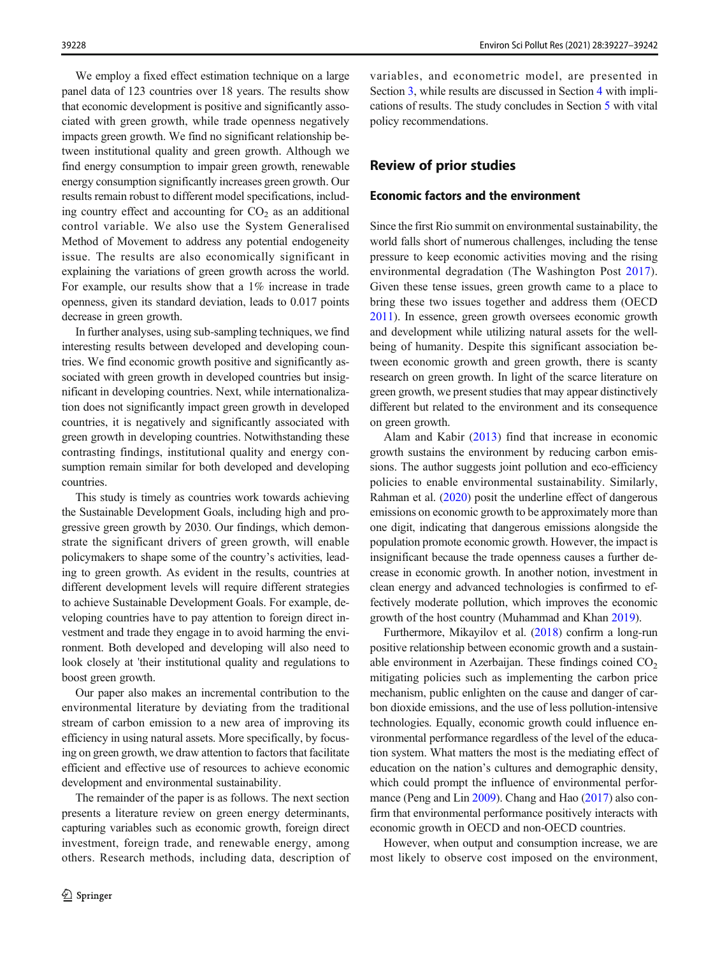We employ a fixed effect estimation technique on a large panel data of 123 countries over 18 years. The results show that economic development is positive and significantly associated with green growth, while trade openness negatively impacts green growth. We find no significant relationship between institutional quality and green growth. Although we find energy consumption to impair green growth, renewable energy consumption significantly increases green growth. Our results remain robust to different model specifications, including country effect and accounting for  $CO<sub>2</sub>$  as an additional control variable. We also use the System Generalised Method of Movement to address any potential endogeneity issue. The results are also economically significant in explaining the variations of green growth across the world. For example, our results show that a 1% increase in trade openness, given its standard deviation, leads to 0.017 points decrease in green growth.

In further analyses, using sub-sampling techniques, we find interesting results between developed and developing countries. We find economic growth positive and significantly associated with green growth in developed countries but insignificant in developing countries. Next, while internationalization does not significantly impact green growth in developed countries, it is negatively and significantly associated with green growth in developing countries. Notwithstanding these contrasting findings, institutional quality and energy consumption remain similar for both developed and developing countries.

This study is timely as countries work towards achieving the Sustainable Development Goals, including high and progressive green growth by 2030. Our findings, which demonstrate the significant drivers of green growth, will enable policymakers to shape some of the country's activities, leading to green growth. As evident in the results, countries at different development levels will require different strategies to achieve Sustainable Development Goals. For example, developing countries have to pay attention to foreign direct investment and trade they engage in to avoid harming the environment. Both developed and developing will also need to look closely at 'their institutional quality and regulations to boost green growth.

Our paper also makes an incremental contribution to the environmental literature by deviating from the traditional stream of carbon emission to a new area of improving its efficiency in using natural assets. More specifically, by focusing on green growth, we draw attention to factors that facilitate efficient and effective use of resources to achieve economic development and environmental sustainability.

The remainder of the paper is as follows. The next section presents a literature review on green energy determinants, capturing variables such as economic growth, foreign direct investment, foreign trade, and renewable energy, among others. Research methods, including data, description of

variables, and econometric model, are presented in Section [3](#page-3-0), while results are discussed in Section [4](#page-5-0) with implications of results. The study concludes in Section [5](#page-11-0) with vital policy recommendations.

## Review of prior studies

## Economic factors and the environment

Since the first Rio summit on environmental sustainability, the world falls short of numerous challenges, including the tense pressure to keep economic activities moving and the rising environmental degradation (The Washington Post [2017](#page-15-0)). Given these tense issues, green growth came to a place to bring these two issues together and address them (OECD [2011\)](#page-14-0). In essence, green growth oversees economic growth and development while utilizing natural assets for the wellbeing of humanity. Despite this significant association between economic growth and green growth, there is scanty research on green growth. In light of the scarce literature on green growth, we present studies that may appear distinctively different but related to the environment and its consequence on green growth.

Alam and Kabir ([2013\)](#page-13-0) find that increase in economic growth sustains the environment by reducing carbon emissions. The author suggests joint pollution and eco-efficiency policies to enable environmental sustainability. Similarly, Rahman et al. [\(2020](#page-14-0)) posit the underline effect of dangerous emissions on economic growth to be approximately more than one digit, indicating that dangerous emissions alongside the population promote economic growth. However, the impact is insignificant because the trade openness causes a further decrease in economic growth. In another notion, investment in clean energy and advanced technologies is confirmed to effectively moderate pollution, which improves the economic growth of the host country (Muhammad and Khan [2019\)](#page-14-0).

Furthermore, Mikayilov et al. [\(2018\)](#page-14-0) confirm a long-run positive relationship between economic growth and a sustainable environment in Azerbaijan. These findings coined  $CO<sub>2</sub>$ mitigating policies such as implementing the carbon price mechanism, public enlighten on the cause and danger of carbon dioxide emissions, and the use of less pollution-intensive technologies. Equally, economic growth could influence environmental performance regardless of the level of the education system. What matters the most is the mediating effect of education on the nation's cultures and demographic density, which could prompt the influence of environmental performance (Peng and Lin [2009](#page-14-0)). Chang and Hao [\(2017\)](#page-14-0) also confirm that environmental performance positively interacts with economic growth in OECD and non-OECD countries.

However, when output and consumption increase, we are most likely to observe cost imposed on the environment,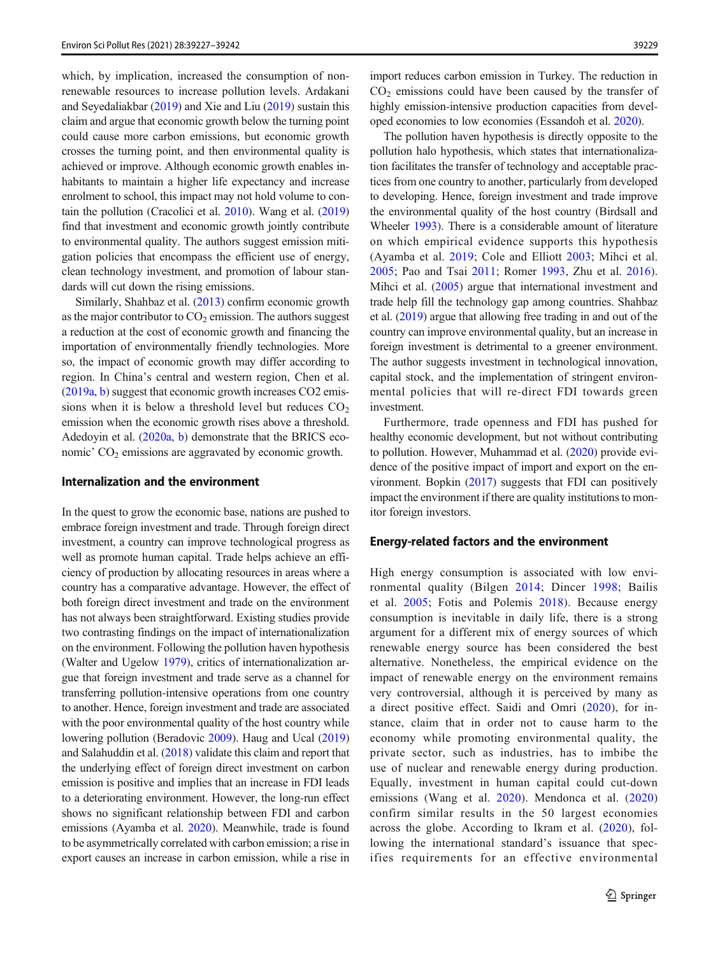which, by implication, increased the consumption of nonrenewable resources to increase pollution levels. Ardakani and Seyedaliakbar ([2019](#page-13-0)) and Xie and Liu [\(2019](#page-15-0)) sustain this claim and argue that economic growth below the turning point could cause more carbon emissions, but economic growth crosses the turning point, and then environmental quality is achieved or improve. Although economic growth enables inhabitants to maintain a higher life expectancy and increase enrolment to school, this impact may not hold volume to contain the pollution (Cracolici et al. [2010](#page-14-0)). Wang et al. [\(2019\)](#page-15-0) find that investment and economic growth jointly contribute to environmental quality. The authors suggest emission mitigation policies that encompass the efficient use of energy, clean technology investment, and promotion of labour standards will cut down the rising emissions.

Similarly, Shahbaz et al. [\(2013](#page-15-0)) confirm economic growth as the major contributor to  $CO<sub>2</sub>$  emission. The authors suggest a reduction at the cost of economic growth and financing the importation of environmentally friendly technologies. More so, the impact of economic growth may differ according to region. In China's central and western region, Chen et al. [\(2019a,](#page-14-0) [b](#page-14-0)) suggest that economic growth increases CO2 emissions when it is below a threshold level but reduces  $CO<sub>2</sub>$ emission when the economic growth rises above a threshold. Adedoyin et al. [\(2020a,](#page-13-0) [b](#page-13-0)) demonstrate that the BRICS economic'  $CO<sub>2</sub>$  emissions are aggravated by economic growth.

## Internalization and the environment

In the quest to grow the economic base, nations are pushed to embrace foreign investment and trade. Through foreign direct investment, a country can improve technological progress as well as promote human capital. Trade helps achieve an efficiency of production by allocating resources in areas where a country has a comparative advantage. However, the effect of both foreign direct investment and trade on the environment has not always been straightforward. Existing studies provide two contrasting findings on the impact of internationalization on the environment. Following the pollution haven hypothesis (Walter and Ugelow [1979](#page-15-0)), critics of internationalization argue that foreign investment and trade serve as a channel for transferring pollution-intensive operations from one country to another. Hence, foreign investment and trade are associated with the poor environmental quality of the host country while lowering pollution (Beradovic [2009\)](#page-13-0). Haug and Ucal [\(2019\)](#page-14-0) and Salahuddin et al. ([2018](#page-14-0)) validate this claim and report that the underlying effect of foreign direct investment on carbon emission is positive and implies that an increase in FDI leads to a deteriorating environment. However, the long-run effect shows no significant relationship between FDI and carbon emissions (Ayamba et al. [2020](#page-13-0)). Meanwhile, trade is found to be asymmetrically correlated with carbon emission; a rise in export causes an increase in carbon emission, while a rise in

import reduces carbon emission in Turkey. The reduction in  $CO<sub>2</sub>$  emissions could have been caused by the transfer of highly emission-intensive production capacities from developed economies to low economies (Essandoh et al. [2020\)](#page-14-0).

The pollution haven hypothesis is directly opposite to the pollution halo hypothesis, which states that internationalization facilitates the transfer of technology and acceptable practices from one country to another, particularly from developed to developing. Hence, foreign investment and trade improve the environmental quality of the host country (Birdsall and Wheeler [1993\)](#page-13-0). There is a considerable amount of literature on which empirical evidence supports this hypothesis (Ayamba et al. [2019](#page-13-0); Cole and Elliott [2003](#page-14-0); Mihci et al. [2005](#page-14-0); Pao and Tsai [2011;](#page-14-0) Romer [1993,](#page-14-0) Zhu et al. [2016\)](#page-15-0). Mihci et al. [\(2005\)](#page-14-0) argue that international investment and trade help fill the technology gap among countries. Shahbaz et al. ([2019](#page-15-0)) argue that allowing free trading in and out of the country can improve environmental quality, but an increase in foreign investment is detrimental to a greener environment. The author suggests investment in technological innovation, capital stock, and the implementation of stringent environmental policies that will re-direct FDI towards green investment.

Furthermore, trade openness and FDI has pushed for healthy economic development, but not without contributing to pollution. However, Muhammad et al. ([2020](#page-14-0)) provide evidence of the positive impact of import and export on the environment. Bopkin [\(2017\)](#page-13-0) suggests that FDI can positively impact the environment if there are quality institutions to monitor foreign investors.

#### Energy-related factors and the environment

High energy consumption is associated with low environmental quality (Bilgen [2014](#page-13-0); Dincer [1998](#page-14-0); Bailis et al. [2005](#page-13-0); Fotis and Polemis [2018](#page-14-0)). Because energy consumption is inevitable in daily life, there is a strong argument for a different mix of energy sources of which renewable energy source has been considered the best alternative. Nonetheless, the empirical evidence on the impact of renewable energy on the environment remains very controversial, although it is perceived by many as a direct positive effect. Saidi and Omri [\(2020\)](#page-15-0), for instance, claim that in order not to cause harm to the economy while promoting environmental quality, the private sector, such as industries, has to imbibe the use of nuclear and renewable energy during production. Equally, investment in human capital could cut-down emissions (Wang et al. [2020](#page-15-0)). Mendonca et al. ([2020](#page-14-0)) confirm similar results in the 50 largest economies across the globe. According to Ikram et al. [\(2020](#page-14-0)), following the international standard's issuance that specifies requirements for an effective environmental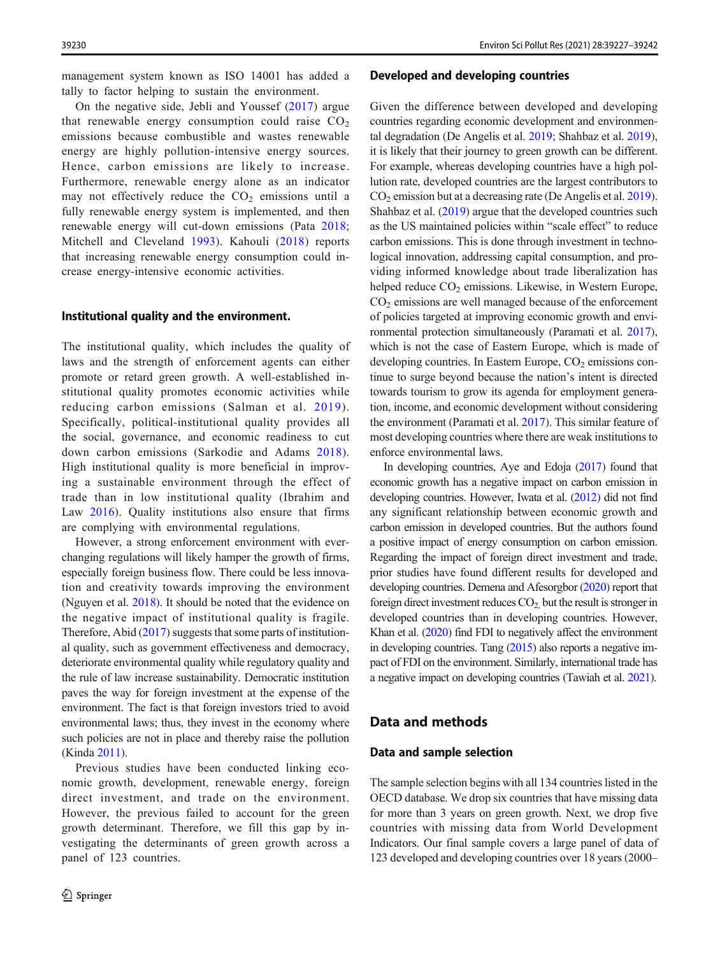<span id="page-3-0"></span>management system known as ISO 14001 has added a tally to factor helping to sustain the environment.

On the negative side, Jebli and Youssef ([2017](#page-14-0)) argue that renewable energy consumption could raise  $CO<sub>2</sub>$ emissions because combustible and wastes renewable energy are highly pollution-intensive energy sources. Hence, carbon emissions are likely to increase. Furthermore, renewable energy alone as an indicator may not effectively reduce the  $CO<sub>2</sub>$  emissions until a fully renewable energy system is implemented, and then renewable energy will cut-down emissions (Pata [2018](#page-14-0); Mitchell and Cleveland [1993](#page-14-0)). Kahouli ([2018](#page-14-0)) reports that increasing renewable energy consumption could increase energy-intensive economic activities.

## Institutional quality and the environment.

The institutional quality, which includes the quality of laws and the strength of enforcement agents can either promote or retard green growth. A well-established institutional quality promotes economic activities while reducing carbon emissions (Salman et al. [2019\)](#page-14-0). Specifically, political-institutional quality provides all the social, governance, and economic readiness to cut down carbon emissions (Sarkodie and Adams [2018](#page-15-0)). High institutional quality is more beneficial in improving a sustainable environment through the effect of trade than in low institutional quality (Ibrahim and Law [2016\)](#page-14-0). Quality institutions also ensure that firms are complying with environmental regulations.

However, a strong enforcement environment with everchanging regulations will likely hamper the growth of firms, especially foreign business flow. There could be less innovation and creativity towards improving the environment (Nguyen et al. [2018\)](#page-14-0). It should be noted that the evidence on the negative impact of institutional quality is fragile. Therefore, Abid [\(2017](#page-13-0)) suggests that some parts of institutional quality, such as government effectiveness and democracy, deteriorate environmental quality while regulatory quality and the rule of law increase sustainability. Democratic institution paves the way for foreign investment at the expense of the environment. The fact is that foreign investors tried to avoid environmental laws; thus, they invest in the economy where such policies are not in place and thereby raise the pollution (Kinda [2011](#page-14-0)).

Previous studies have been conducted linking economic growth, development, renewable energy, foreign direct investment, and trade on the environment. However, the previous failed to account for the green growth determinant. Therefore, we fill this gap by investigating the determinants of green growth across a panel of 123 countries.

#### Developed and developing countries

Given the difference between developed and developing countries regarding economic development and environmental degradation (De Angelis et al. [2019](#page-14-0); Shahbaz et al. [2019\)](#page-15-0), it is likely that their journey to green growth can be different. For example, whereas developing countries have a high pollution rate, developed countries are the largest contributors to CO<sub>2</sub> emission but at a decreasing rate (De Angelis et al. [2019\)](#page-14-0). Shahbaz et al. ([2019](#page-15-0)) argue that the developed countries such as the US maintained policies within "scale effect" to reduce carbon emissions. This is done through investment in technological innovation, addressing capital consumption, and providing informed knowledge about trade liberalization has helped reduce  $CO<sub>2</sub>$  emissions. Likewise, in Western Europe, CO2 emissions are well managed because of the enforcement of policies targeted at improving economic growth and environmental protection simultaneously (Paramati et al. [2017\)](#page-14-0), which is not the case of Eastern Europe, which is made of developing countries. In Eastern Europe,  $CO<sub>2</sub>$  emissions continue to surge beyond because the nation's intent is directed towards tourism to grow its agenda for employment generation, income, and economic development without considering the environment (Paramati et al. [2017](#page-14-0)). This similar feature of most developing countries where there are weak institutions to enforce environmental laws.

In developing countries, Aye and Edoja [\(2017\)](#page-13-0) found that economic growth has a negative impact on carbon emission in developing countries. However, Iwata et al. [\(2012\)](#page-14-0) did not find any significant relationship between economic growth and carbon emission in developed countries. But the authors found a positive impact of energy consumption on carbon emission. Regarding the impact of foreign direct investment and trade, prior studies have found different results for developed and developing countries. Demena and Afesorgbor [\(2020\)](#page-14-0) report that foreign direct investment reduces  $CO<sub>2</sub>$  but the result is stronger in developed countries than in developing countries. However, Khan et al. [\(2020\)](#page-14-0) find FDI to negatively affect the environment in developing countries. Tang [\(2015\)](#page-15-0) also reports a negative impact of FDI on the environment. Similarly, international trade has a negative impact on developing countries (Tawiah et al. [2021](#page-15-0)).

#### Data and methods

## Data and sample selection

The sample selection begins with all 134 countries listed in the OECD database. We drop six countries that have missing data for more than 3 years on green growth. Next, we drop five countries with missing data from World Development Indicators. Our final sample covers a large panel of data of 123 developed and developing countries over 18 years (2000–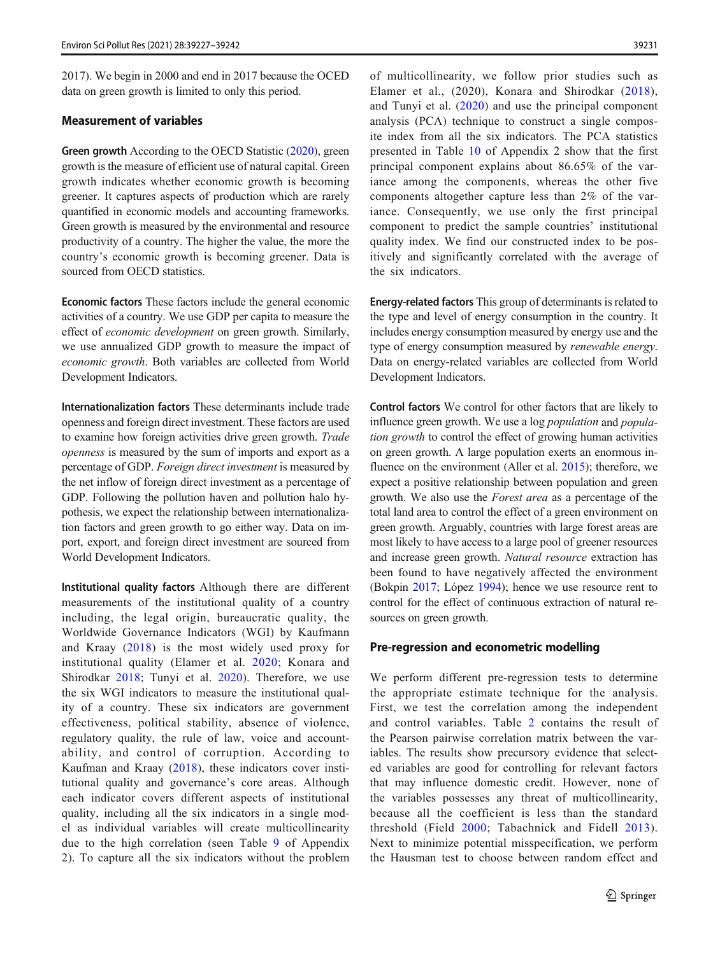2017). We begin in 2000 and end in 2017 because the OCED data on green growth is limited to only this period.

## Measurement of variables

Green growth According to the OECD Statistic [\(2020\)](#page-14-0), green growth is the measure of efficient use of natural capital. Green growth indicates whether economic growth is becoming greener. It captures aspects of production which are rarely quantified in economic models and accounting frameworks. Green growth is measured by the environmental and resource productivity of a country. The higher the value, the more the country's economic growth is becoming greener. Data is sourced from OECD statistics.

Economic factors These factors include the general economic activities of a country. We use GDP per capita to measure the effect of economic development on green growth. Similarly, we use annualized GDP growth to measure the impact of economic growth. Both variables are collected from World Development Indicators.

Internationalization factors These determinants include trade openness and foreign direct investment. These factors are used to examine how foreign activities drive green growth. Trade openness is measured by the sum of imports and export as a percentage of GDP. Foreign direct investment is measured by the net inflow of foreign direct investment as a percentage of GDP. Following the pollution haven and pollution halo hypothesis, we expect the relationship between internationalization factors and green growth to go either way. Data on import, export, and foreign direct investment are sourced from World Development Indicators.

Institutional quality factors Although there are different measurements of the institutional quality of a country including, the legal origin, bureaucratic quality, the Worldwide Governance Indicators (WGI) by Kaufmann and Kraay ([2018\)](#page-14-0) is the most widely used proxy for institutional quality (Elamer et al. [2020;](#page-14-0) Konara and Shirodkar [2018](#page-14-0); Tunyi et al. [2020\)](#page-15-0). Therefore, we use the six WGI indicators to measure the institutional quality of a country. These six indicators are government effectiveness, political stability, absence of violence, regulatory quality, the rule of law, voice and accountability, and control of corruption. According to Kaufman and Kraay [\(2018](#page-14-0)), these indicators cover institutional quality and governance's core areas. Although each indicator covers different aspects of institutional quality, including all the six indicators in a single model as individual variables will create multicollinearity due to the high correlation (seen Table [9](#page-12-0) of Appendix 2). To capture all the six indicators without the problem

of multicollinearity, we follow prior studies such as Elamer et al., (2020), Konara and Shirodkar [\(2018](#page-14-0)), and Tunyi et al. [\(2020\)](#page-15-0) and use the principal component analysis (PCA) technique to construct a single composite index from all the six indicators. The PCA statistics presented in Table [10](#page-13-0) of Appendix 2 show that the first principal component explains about 86.65% of the variance among the components, whereas the other five components altogether capture less than 2% of the variance. Consequently, we use only the first principal component to predict the sample countries' institutional quality index. We find our constructed index to be positively and significantly correlated with the average of the six indicators.

Energy-related factors This group of determinants is related to the type and level of energy consumption in the country. It includes energy consumption measured by energy use and the type of energy consumption measured by renewable energy. Data on energy-related variables are collected from World Development Indicators.

Control factors We control for other factors that are likely to influence green growth. We use a log *population* and *popula*tion growth to control the effect of growing human activities on green growth. A large population exerts an enormous influence on the environment (Aller et al. [2015](#page-13-0)); therefore, we expect a positive relationship between population and green growth. We also use the Forest area as a percentage of the total land area to control the effect of a green environment on green growth. Arguably, countries with large forest areas are most likely to have access to a large pool of greener resources and increase green growth. Natural resource extraction has been found to have negatively affected the environment (Bokpin [2017](#page-13-0); López [1994\)](#page-14-0); hence we use resource rent to control for the effect of continuous extraction of natural resources on green growth.

#### Pre-regression and econometric modelling

We perform different pre-regression tests to determine the appropriate estimate technique for the analysis. First, we test the correlation among the independent and control variables. Table [2](#page-6-0) contains the result of the Pearson pairwise correlation matrix between the variables. The results show precursory evidence that selected variables are good for controlling for relevant factors that may influence domestic credit. However, none of the variables possesses any threat of multicollinearity, because all the coefficient is less than the standard threshold (Field [2000;](#page-14-0) Tabachnick and Fidell [2013](#page-15-0)). Next to minimize potential misspecification, we perform the Hausman test to choose between random effect and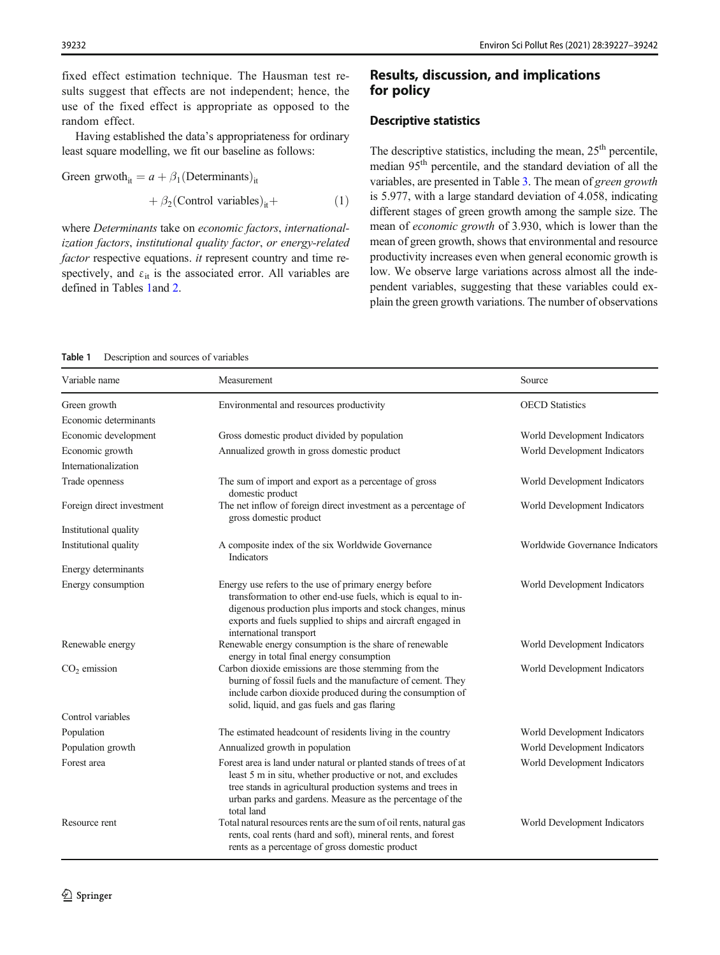<span id="page-5-0"></span>fixed effect estimation technique. The Hausman test results suggest that effects are not independent; hence, the use of the fixed effect is appropriate as opposed to the random effect.

Having established the data's appropriateness for ordinary least square modelling, we fit our baseline as follows:

Green grwoth<sub>it</sub> =  $a + \beta_1$ (Determinants)<sub>it</sub>

$$
+\beta_2(\text{Control variables})_{it} +
$$
 (1)

where Determinants take on economic factors, internationalization factors, institutional quality factor, or energy-related factor respective equations. it represent country and time respectively, and  $\varepsilon_{it}$  is the associated error. All variables are defined in Tables 1and [2.](#page-6-0)

## Results, discussion, and implications for policy

#### Descriptive statistics

The descriptive statistics, including the mean,  $25<sup>th</sup>$  percentile, median 95<sup>th</sup> percentile, and the standard deviation of all the variables, are presented in Table [3](#page-6-0). The mean of green growth is 5.977, with a large standard deviation of 4.058, indicating different stages of green growth among the sample size. The mean of economic growth of 3.930, which is lower than the mean of green growth, shows that environmental and resource productivity increases even when general economic growth is low. We observe large variations across almost all the independent variables, suggesting that these variables could explain the green growth variations. The number of observations

#### Table 1 Description and sources of variables

| Variable name             | Measurement                                                                                                                                                                                                                                                                  | Source                          |
|---------------------------|------------------------------------------------------------------------------------------------------------------------------------------------------------------------------------------------------------------------------------------------------------------------------|---------------------------------|
| Green growth              | Environmental and resources productivity                                                                                                                                                                                                                                     | <b>OECD</b> Statistics          |
| Economic determinants     |                                                                                                                                                                                                                                                                              |                                 |
| Economic development      | Gross domestic product divided by population                                                                                                                                                                                                                                 | World Development Indicators    |
| Economic growth           | Annualized growth in gross domestic product                                                                                                                                                                                                                                  | World Development Indicators    |
| Internationalization      |                                                                                                                                                                                                                                                                              |                                 |
| Trade openness            | The sum of import and export as a percentage of gross<br>domestic product                                                                                                                                                                                                    | World Development Indicators    |
| Foreign direct investment | The net inflow of foreign direct investment as a percentage of<br>gross domestic product                                                                                                                                                                                     | World Development Indicators    |
| Institutional quality     |                                                                                                                                                                                                                                                                              |                                 |
| Institutional quality     | A composite index of the six Worldwide Governance<br>Indicators                                                                                                                                                                                                              | Worldwide Governance Indicators |
| Energy determinants       |                                                                                                                                                                                                                                                                              |                                 |
| Energy consumption        | Energy use refers to the use of primary energy before<br>transformation to other end-use fuels, which is equal to in-<br>digenous production plus imports and stock changes, minus<br>exports and fuels supplied to ships and aircraft engaged in<br>international transport | World Development Indicators    |
| Renewable energy          | Renewable energy consumption is the share of renewable<br>energy in total final energy consumption                                                                                                                                                                           | World Development Indicators    |
| $CO2$ emission            | Carbon dioxide emissions are those stemming from the<br>burning of fossil fuels and the manufacture of cement. They<br>include carbon dioxide produced during the consumption of<br>solid, liquid, and gas fuels and gas flaring                                             | World Development Indicators    |
| Control variables         |                                                                                                                                                                                                                                                                              |                                 |
| Population                | The estimated headcount of residents living in the country                                                                                                                                                                                                                   | World Development Indicators    |
| Population growth         | Annualized growth in population                                                                                                                                                                                                                                              | World Development Indicators    |
| Forest area               | Forest area is land under natural or planted stands of trees of at<br>least 5 m in situ, whether productive or not, and excludes<br>tree stands in agricultural production systems and trees in<br>urban parks and gardens. Measure as the percentage of the<br>total land   | World Development Indicators    |
| Resource rent             | Total natural resources rents are the sum of oil rents, natural gas<br>rents, coal rents (hard and soft), mineral rents, and forest<br>rents as a percentage of gross domestic product                                                                                       | World Development Indicators    |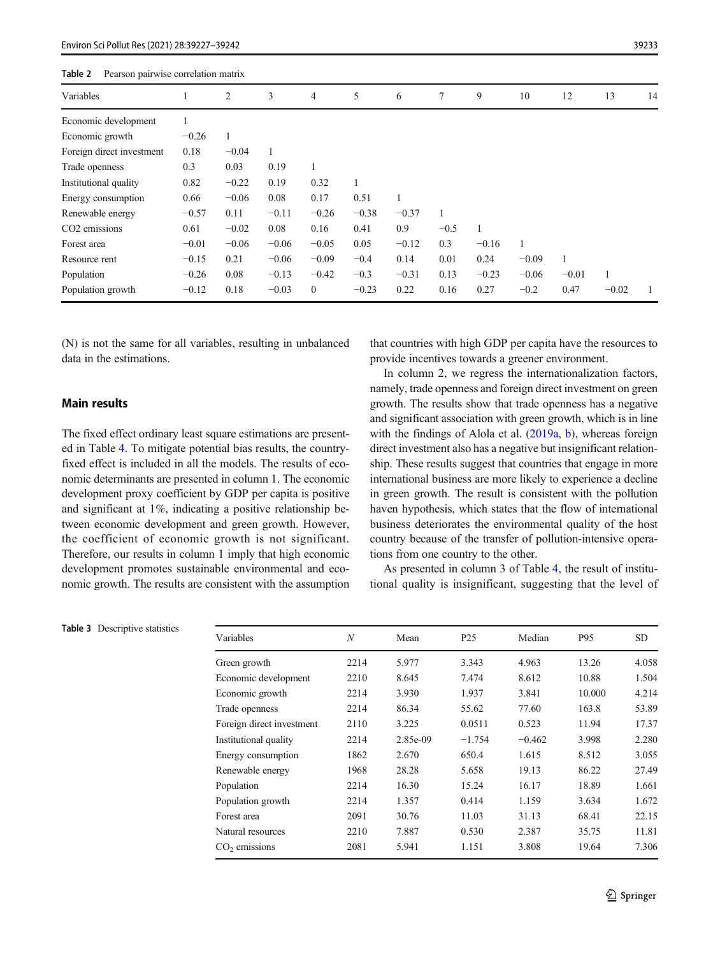<span id="page-6-0"></span>

| Table 2<br>Pearson pairwise correlation matrix |         |         |         |                |         |              |        |         |         |         |         |    |
|------------------------------------------------|---------|---------|---------|----------------|---------|--------------|--------|---------|---------|---------|---------|----|
| Variables                                      |         | 2       | 3       | 4              | 5       | 6            | 7      | 9       | 10      | 12      | 13      | 14 |
| Economic development                           |         |         |         |                |         |              |        |         |         |         |         |    |
| Economic growth                                | $-0.26$ |         |         |                |         |              |        |         |         |         |         |    |
| Foreign direct investment                      | 0.18    | $-0.04$ | 1       |                |         |              |        |         |         |         |         |    |
| Trade openness                                 | 0.3     | 0.03    | 0.19    |                |         |              |        |         |         |         |         |    |
| Institutional quality                          | 0.82    | $-0.22$ | 0.19    | 0.32           |         |              |        |         |         |         |         |    |
| Energy consumption                             | 0.66    | $-0.06$ | 0.08    | 0.17           | 0.51    | $\mathbf{1}$ |        |         |         |         |         |    |
| Renewable energy                               | $-0.57$ | 0.11    | $-0.11$ | $-0.26$        | $-0.38$ | $-0.37$      |        |         |         |         |         |    |
| CO <sub>2</sub> emissions                      | 0.61    | $-0.02$ | 0.08    | 0.16           | 0.41    | 0.9          | $-0.5$ |         |         |         |         |    |
| Forest area                                    | $-0.01$ | $-0.06$ | $-0.06$ | $-0.05$        | 0.05    | $-0.12$      | 0.3    | $-0.16$ |         |         |         |    |
| Resource rent                                  | $-0.15$ | 0.21    | $-0.06$ | $-0.09$        | $-0.4$  | 0.14         | 0.01   | 0.24    | $-0.09$ |         |         |    |
| Population                                     | $-0.26$ | 0.08    | $-0.13$ | $-0.42$        | $-0.3$  | $-0.31$      | 0.13   | $-0.23$ | $-0.06$ | $-0.01$ |         |    |
| Population growth                              | $-0.12$ | 0.18    | $-0.03$ | $\overline{0}$ | $-0.23$ | 0.22         | 0.16   | 0.27    | $-0.2$  | 0.47    | $-0.02$ |    |

(N) is not the same for all variables, resulting in unbalanced data in the estimations.

## Main results

The fixed effect ordinary least square estimations are presented in Table [4](#page-7-0). To mitigate potential bias results, the countryfixed effect is included in all the models. The results of economic determinants are presented in column 1. The economic development proxy coefficient by GDP per capita is positive and significant at 1%, indicating a positive relationship between economic development and green growth. However, the coefficient of economic growth is not significant. Therefore, our results in column 1 imply that high economic development promotes sustainable environmental and economic growth. The results are consistent with the assumption that countries with high GDP per capita have the resources to provide incentives towards a greener environment.

In column 2, we regress the internationalization factors, namely, trade openness and foreign direct investment on green growth. The results show that trade openness has a negative and significant association with green growth, which is in line with the findings of Alola et al. [\(2019a](#page-13-0), [b\)](#page-13-0), whereas foreign direct investment also has a negative but insignificant relationship. These results suggest that countries that engage in more international business are more likely to experience a decline in green growth. The result is consistent with the pollution haven hypothesis, which states that the flow of international business deteriorates the environmental quality of the host country because of the transfer of pollution-intensive operations from one country to the other.

As presented in column 3 of Table [4](#page-7-0), the result of institutional quality is insignificant, suggesting that the level of

| Variables                 | N    | Mean     | P <sub>25</sub> | Median   | P95    | <b>SD</b> |
|---------------------------|------|----------|-----------------|----------|--------|-----------|
| Green growth              | 2214 | 5.977    | 3.343           | 4.963    | 13.26  | 4.058     |
| Economic development      | 2210 | 8.645    | 7.474           | 8.612    | 10.88  | 1.504     |
| Economic growth           | 2214 | 3.930    | 1.937           | 3.841    | 10.000 | 4.214     |
| Trade openness            | 2214 | 86.34    | 55.62           | 77.60    | 163.8  | 53.89     |
| Foreign direct investment | 2110 | 3.225    | 0.0511          | 0.523    | 11.94  | 17.37     |
| Institutional quality     | 2214 | 2.85e-09 | $-1.754$        | $-0.462$ | 3.998  | 2.280     |
| Energy consumption        | 1862 | 2.670    | 650.4           | 1.615    | 8.512  | 3.055     |
| Renewable energy          | 1968 | 28.28    | 5.658           | 19.13    | 86.22  | 27.49     |
| Population                | 2214 | 16.30    | 15.24           | 16.17    | 18.89  | 1.661     |
| Population growth         | 2214 | 1.357    | 0.414           | 1.159    | 3.634  | 1.672     |
| Forest area               | 2091 | 30.76    | 11.03           | 31.13    | 68.41  | 22.15     |
| Natural resources         | 2210 | 7.887    | 0.530           | 2.387    | 35.75  | 11.81     |
| $CO2$ emissions           | 2081 | 5.941    | 1.151           | 3.808    | 19.64  | 7.306     |

Table 3 Descriptive statistics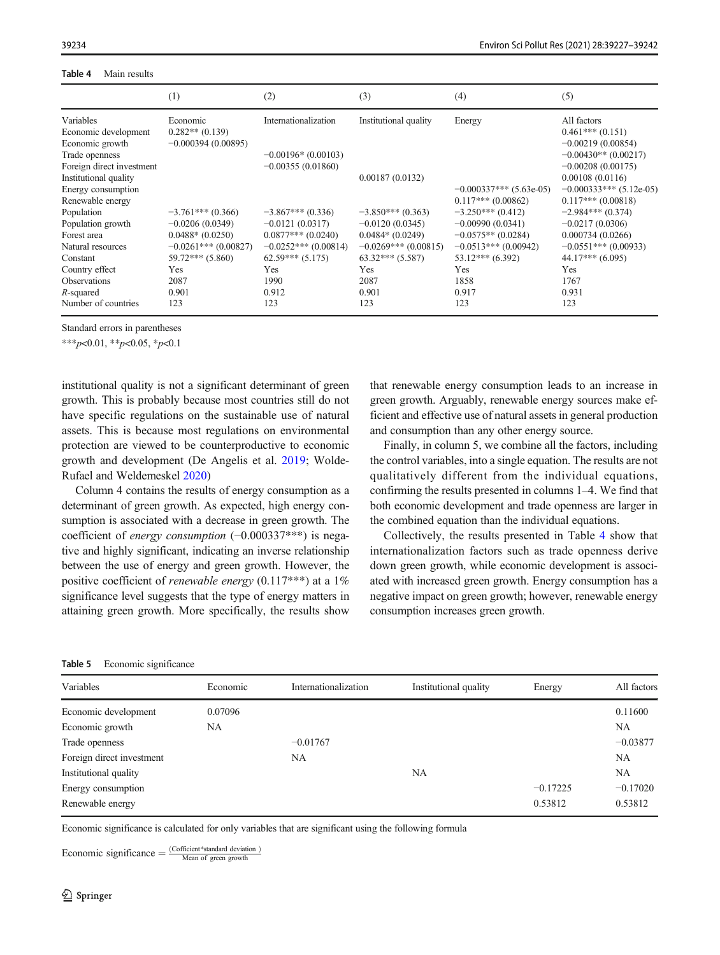#### <span id="page-7-0"></span>39234 Environ Sci Pollut Res (2021) 28:39227–39242

| Table 4<br>Main results |  |
|-------------------------|--|
|-------------------------|--|

|                           | (1)                   | (2)                    | (3)                   | (4)                       | (5)                       |
|---------------------------|-----------------------|------------------------|-----------------------|---------------------------|---------------------------|
| Variables                 | Economic              | Internationalization   | Institutional quality | Energy                    | All factors               |
| Economic development      | $0.282**$ (0.139)     |                        |                       |                           | $0.461***(0.151)$         |
| Economic growth           | $-0.000394(0.00895)$  |                        |                       |                           | $-0.00219(0.00854)$       |
| Trade openness            |                       | $-0.00196*(0.00103)$   |                       |                           | $-0.00430**$ (0.00217)    |
| Foreign direct investment |                       | $-0.00355(0.01860)$    |                       |                           | $-0.00208(0.00175)$       |
| Institutional quality     |                       |                        | 0.00187(0.0132)       |                           | 0.00108(0.0116)           |
| Energy consumption        |                       |                        |                       | $-0.000337***$ (5.63e-05) | $-0.000333***$ (5.12e-05) |
| Renewable energy          |                       |                        |                       | $0.117***(0.00862)$       | $0.117***(0.00818)$       |
| Population                | $-3.761***(0.366)$    | $-3.867***(0.336)$     | $-3.850***(0.363)$    | $-3.250***(0.412)$        | $-2.984***(0.374)$        |
| Population growth         | $-0.0206(0.0349)$     | $-0.0121(0.0317)$      | $-0.0120(0.0345)$     | $-0.00990(0.0341)$        | $-0.0217(0.0306)$         |
| Forest area               | $0.0488*(0.0250)$     | $0.0877***(0.0240)$    | $0.0484*(0.0249)$     | $-0.0575**$ (0.0284)      | 0.000734(0.0266)          |
| Natural resources         | $-0.0261***(0.00827)$ | $-0.0252***$ (0.00814) | $-0.0269***(0.00815)$ | $-0.0513***(0.00942)$     | $-0.0551***$ (0.00933)    |
| Constant                  | $59.72***$ $(5.860)$  | $62.59***$ $(5.175)$   | $63.32***$ $(5.587)$  | $53.12***$ (6.392)        | $44.17***$ (6.095)        |
| Country effect            | Yes                   | Yes                    | Yes                   | Yes                       | <b>Yes</b>                |
| Observations              | 2087                  | 1990                   | 2087                  | 1858                      | 1767                      |
| R-squared                 | 0.901                 | 0.912                  | 0.901                 | 0.917                     | 0.931                     |
| Number of countries       | 123                   | 123                    | 123                   | 123                       | 123                       |

Standard errors in parentheses

 $***p<0.01, **p<0.05, *p<0.1$ 

institutional quality is not a significant determinant of green growth. This is probably because most countries still do not have specific regulations on the sustainable use of natural assets. This is because most regulations on environmental protection are viewed to be counterproductive to economic growth and development (De Angelis et al. [2019](#page-14-0); Wolde-Rufael and Weldemeskel [2020](#page-15-0))

Column 4 contains the results of energy consumption as a determinant of green growth. As expected, high energy consumption is associated with a decrease in green growth. The coefficient of *energy consumption* (−0.000337<sup>\*\*\*</sup>) is negative and highly significant, indicating an inverse relationship between the use of energy and green growth. However, the positive coefficient of *renewable energy*  $(0.117***)$  at a 1% significance level suggests that the type of energy matters in attaining green growth. More specifically, the results show

## that renewable energy consumption leads to an increase in green growth. Arguably, renewable energy sources make efficient and effective use of natural assets in general production and consumption than any other energy source.

Finally, in column 5, we combine all the factors, including the control variables, into a single equation. The results are not qualitatively different from the individual equations, confirming the results presented in columns 1–4. We find that both economic development and trade openness are larger in the combined equation than the individual equations.

Collectively, the results presented in Table 4 show that internationalization factors such as trade openness derive down green growth, while economic development is associated with increased green growth. Energy consumption has a negative impact on green growth; however, renewable energy consumption increases green growth.

| Table 5 | Economic significance |
|---------|-----------------------|
|---------|-----------------------|

| Variables                 | Economic | Internationalization | Institutional quality | Energy     | All factors |
|---------------------------|----------|----------------------|-----------------------|------------|-------------|
| Economic development      | 0.07096  |                      |                       |            | 0.11600     |
| Economic growth           | NA       |                      |                       |            | <b>NA</b>   |
| Trade openness            |          | $-0.01767$           |                       |            | $-0.03877$  |
| Foreign direct investment |          | NA                   |                       |            | NA          |
| Institutional quality     |          |                      | <b>NA</b>             |            | <b>NA</b>   |
| Energy consumption        |          |                      |                       | $-0.17225$ | $-0.17020$  |
| Renewable energy          |          |                      |                       | 0.53812    | 0.53812     |

Economic significance is calculated for only variables that are significant using the following formula

Economic significance  $=$   $\frac{(C\text{efficient}*\text{standard deviation})}{\text{Mean of green growth}}$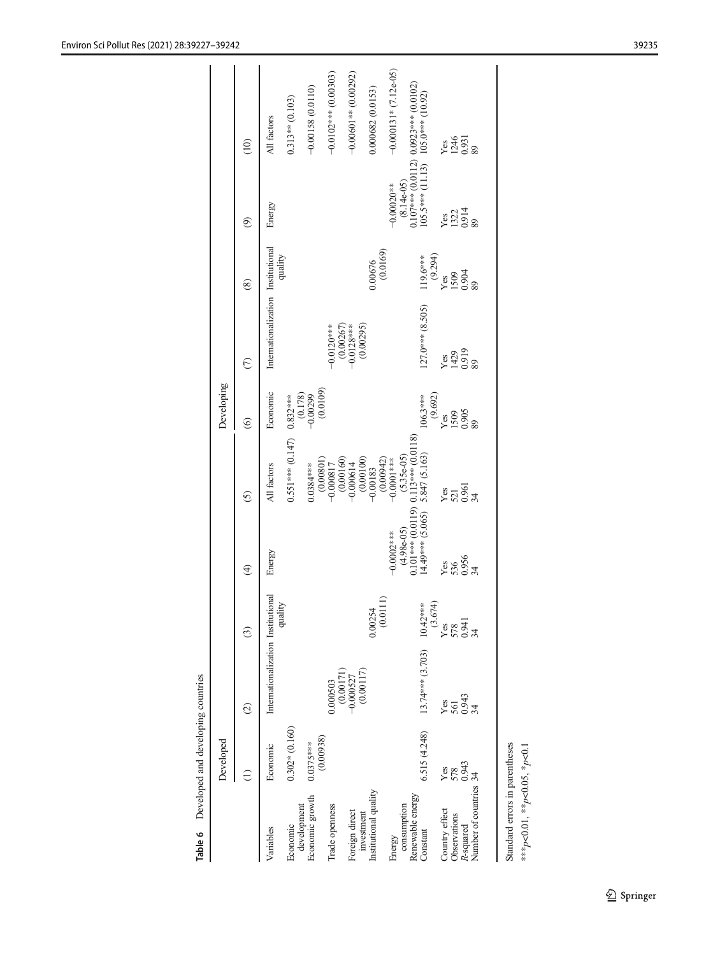| <b>Notice of the Constant</b><br>$\cdot$ pute $\cdot$<br>i |  |
|------------------------------------------------------------|--|
| C CAR CAR                                                  |  |
|                                                            |  |

<span id="page-8-0"></span>

|                                             | Developed       |                                    |                     |                                         |                                                                    | Developing           |                                    |                     |                                   |                                                                             |
|---------------------------------------------|-----------------|------------------------------------|---------------------|-----------------------------------------|--------------------------------------------------------------------|----------------------|------------------------------------|---------------------|-----------------------------------|-----------------------------------------------------------------------------|
|                                             |                 | $\widehat{c}$                      | $\odot$             | $\widehat{E}$                           | $\odot$                                                            | $\widehat{\circ}$    | $\odot$                            | $\circledast$       | $\circledcirc$                    | $\frac{1}{2}$                                                               |
| Variables                                   | Economic        | Internationalization Institutional |                     | Energy                                  | All factors                                                        | Economic             | Internationalization Institutional |                     | Energy                            | All factors                                                                 |
| Economic                                    | $0.302*(0.160)$ |                                    | quality             |                                         | $0.551***$ (0.147) $0.832***$                                      |                      |                                    | quality             |                                   | $0.313**$ (0.103)                                                           |
| Economic growth<br>development              | $0.0375***$     |                                    |                     |                                         | $0.0384***$                                                        | $-0.178$<br>-0.00299 |                                    |                     |                                   | $-0.00158(0.0110)$                                                          |
| Trade openness                              | (0.00938)       | 0.000503                           |                     |                                         | $\begin{array}{c} (0.00801) \\ -0.000817 \\ (0.00160) \end{array}$ | (0.0109)             | $-0.0120***$                       |                     |                                   | $-0.0102***$ (0.00303)                                                      |
| Foreign direct                              |                 | $(0.00171)$<br>-0.000527           |                     |                                         | $-0.000614$                                                        |                      | $(0.00267)$<br>-0.0128***          |                     |                                   | $-0.00601**$ (0.00292)                                                      |
| Institutional quality<br>investment         |                 | (0.00117)                          | 0.00254             |                                         | $(0.00100)$<br>$-0.00183$                                          |                      | (0.00295)                          | 0.00676             |                                   | 0.000682 (0.0153)                                                           |
| Energy                                      |                 |                                    | (0.011)             | $(4.98e-05)$<br>$-0.0002$ ***           | $(0.00942)$<br>-0.0001***                                          |                      |                                    | (0.0169)            | $-0.00020***$                     | $-0.000131*(7.12e-05)$                                                      |
| Renewable energy<br>consumption<br>Constant | 6.515(4.248)    | 13.74*** (3.703)                   | $10.42***$          | $0.101***$ (0.0119)<br>14.49*** (5.065) | $(5.35e-05)$<br>0.113*** (0.0118)<br>5.847 (5.163)                 | $106.3***$           | 127.0*** (8.505)                   | $119.6***$          | $(05.5***(11.13))$                | $(8.14e{-0.5})$<br>0.107*** (0.0112) 0.0923*** (0.0102)<br>105.0*** (10.92) |
| Country effect                              | Yes             |                                    | (3.674)             |                                         |                                                                    | (9.692)<br>Yes       | Yes                                | (9.294)             |                                   |                                                                             |
| Observations                                | 578             |                                    |                     |                                         |                                                                    |                      |                                    |                     |                                   |                                                                             |
| R-squared                                   | 0.943           | Yes<br>56133<br>243                | yes<br>58341<br>234 | yes<br>536<br>234                       | yes<br>25<br>25<br>24                                              | 1509<br>0.905        | $\frac{1429}{0.919}$               | yes<br>1503<br>2038 | Y <sub>82</sub><br>13214<br>0.914 | Yes<br>1246<br>0.931<br>89                                                  |
| Number of countries 34                      |                 |                                    |                     |                                         |                                                                    | 89                   |                                    |                     |                                   |                                                                             |
|                                             |                 |                                    |                     |                                         |                                                                    |                      |                                    |                     |                                   |                                                                             |
|                                             |                 |                                    |                     |                                         |                                                                    |                      |                                    |                     |                                   |                                                                             |

Standard errors in parentheses \*\*\*p<0.01, \*\*p<0.05, \*p<0.1 Standard errors in parentheses

\*\*\*p<0.01, \*\*p<0.05, \*p<0.1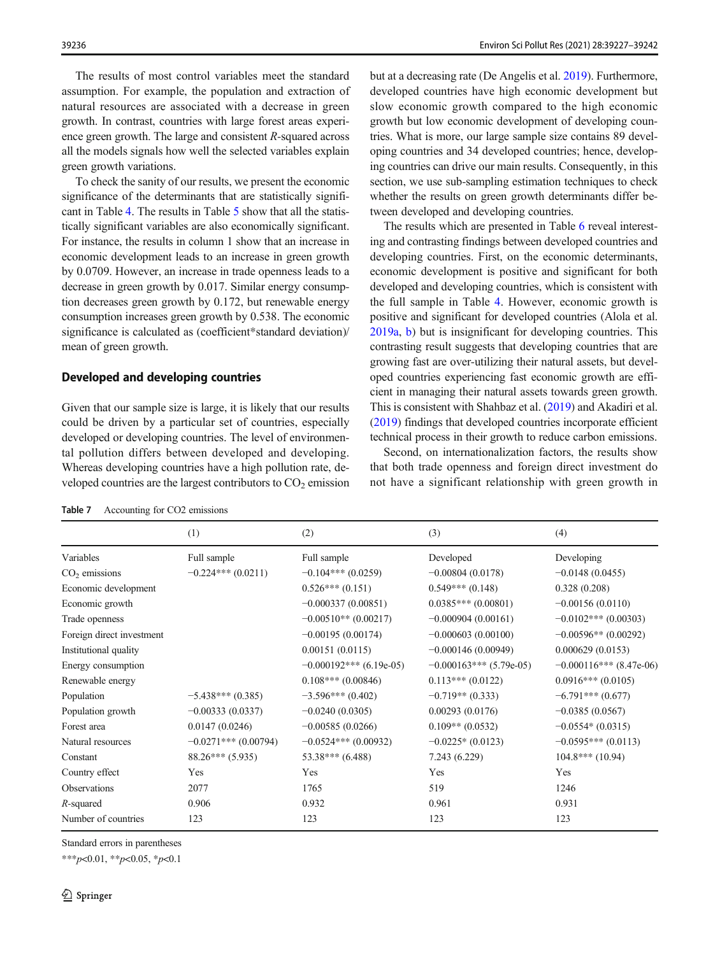<span id="page-9-0"></span>The results of most control variables meet the standard assumption. For example, the population and extraction of natural resources are associated with a decrease in green growth. In contrast, countries with large forest areas experience green growth. The large and consistent R-squared across all the models signals how well the selected variables explain green growth variations.

To check the sanity of our results, we present the economic significance of the determinants that are statistically significant in Table [4.](#page-7-0) The results in Table [5](#page-7-0) show that all the statistically significant variables are also economically significant. For instance, the results in column 1 show that an increase in economic development leads to an increase in green growth by 0.0709. However, an increase in trade openness leads to a decrease in green growth by 0.017. Similar energy consumption decreases green growth by 0.172, but renewable energy consumption increases green growth by 0.538. The economic significance is calculated as (coefficient\*standard deviation)/ mean of green growth.

## Developed and developing countries

Given that our sample size is large, it is likely that our results could be driven by a particular set of countries, especially developed or developing countries. The level of environmental pollution differs between developed and developing. Whereas developing countries have a high pollution rate, developed countries are the largest contributors to  $CO<sub>2</sub>$  emission but at a decreasing rate (De Angelis et al. [2019\)](#page-14-0). Furthermore, developed countries have high economic development but slow economic growth compared to the high economic growth but low economic development of developing countries. What is more, our large sample size contains 89 developing countries and 34 developed countries; hence, developing countries can drive our main results. Consequently, in this section, we use sub-sampling estimation techniques to check whether the results on green growth determinants differ between developed and developing countries.

The results which are presented in Table [6](#page-8-0) reveal interesting and contrasting findings between developed countries and developing countries. First, on the economic determinants, economic development is positive and significant for both developed and developing countries, which is consistent with the full sample in Table [4](#page-7-0). However, economic growth is positive and significant for developed countries (Alola et al. [2019a,](#page-13-0) [b\)](#page-13-0) but is insignificant for developing countries. This contrasting result suggests that developing countries that are growing fast are over-utilizing their natural assets, but developed countries experiencing fast economic growth are efficient in managing their natural assets towards green growth. This is consistent with Shahbaz et al. [\(2019\)](#page-15-0) and Akadiri et al. [\(2019\)](#page-13-0) findings that developed countries incorporate efficient technical process in their growth to reduce carbon emissions.

Second, on internationalization factors, the results show that both trade openness and foreign direct investment do not have a significant relationship with green growth in

Table 7 Accounting for CO2 emissions

|                           | (1)                    | (2)                       | (3)                       | (4)                        |
|---------------------------|------------------------|---------------------------|---------------------------|----------------------------|
| Variables                 | Full sample            | Full sample               | Developed                 | Developing                 |
| $CO2$ emissions           | $-0.224***(0.0211)$    | $-0.104***$ (0.0259)      | $-0.00804(0.0178)$        | $-0.0148(0.0455)$          |
| Economic development      |                        | $0.526***(0.151)$         | $0.549***(0.148)$         | 0.328(0.208)               |
| Economic growth           |                        | $-0.000337(0.00851)$      | $0.0385***(0.00801)$      | $-0.00156(0.0110)$         |
| Trade openness            |                        | $-0.00510**$ (0.00217)    | $-0.000904(0.00161)$      | $-0.0102***$ (0.00303)     |
| Foreign direct investment |                        | $-0.00195(0.00174)$       | $-0.000603(0.00100)$      | $-0.00596**$ (0.00292)     |
| Institutional quality     |                        | 0.00151(0.0115)           | $-0.000146(0.00949)$      | 0.000629(0.0153)           |
| Energy consumption        |                        | $-0.000192***$ (6.19e-05) | $-0.000163***$ (5.79e-05) | $-0.000116$ *** (8.47e-06) |
| Renewable energy          |                        | $0.108***(0.00846)$       | $0.113***(0.0122)$        | $0.0916***(0.0105)$        |
| Population                | $-5.438***(0.385)$     | $-3.596***(0.402)$        | $-0.719**$ (0.333)        | $-6.791***(0.677)$         |
| Population growth         | $-0.00333(0.0337)$     | $-0.0240(0.0305)$         | 0.00293(0.0176)           | $-0.0385(0.0567)$          |
| Forest area               | 0.0147(0.0246)         | $-0.00585(0.0266)$        | $0.109**$ (0.0532)        | $-0.0554*(0.0315)$         |
| Natural resources         | $-0.0271***$ (0.00794) | $-0.0524***$ (0.00932)    | $-0.0225*(0.0123)$        | $-0.0595***(0.0113)$       |
| Constant                  | $88.26***(5.935)$      | $53.38***$ (6.488)        | 7.243 (6.229)             | $104.8***(10.94)$          |
| Country effect            | Yes                    | Yes                       | Yes                       | Yes                        |
| Observations              | 2077                   | 1765                      | 519                       | 1246                       |
| $R$ -squared              | 0.906                  | 0.932                     | 0.961                     | 0.931                      |
| Number of countries       | 123                    | 123                       | 123                       | 123                        |

Standard errors in parentheses

\*\*\*p<0.01, \*\*p<0.05, \*p<0.1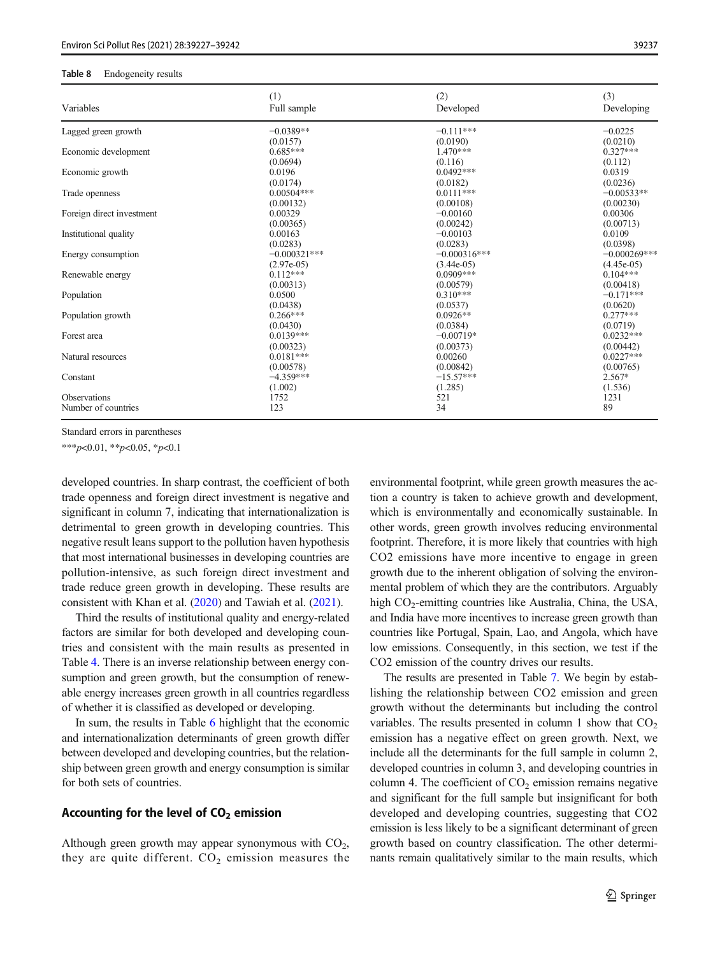#### <span id="page-10-0"></span>Table 8 Endogeneity results

| Variables                 | (1)                    | (2)                     | (3)                     |
|---------------------------|------------------------|-------------------------|-------------------------|
|                           | Full sample            | Developed               | Developing              |
| Lagged green growth       | $-0.0389**$            | $-0.111***$             | $-0.0225$               |
| Economic development      | (0.0157)               | (0.0190)                | (0.0210)                |
|                           | $0.685***$             | 1.470***                | $0.327***$              |
|                           | (0.0694)               | (0.116)                 | (0.112)                 |
| Economic growth           | 0.0196                 | $0.0492***$             | 0.0319                  |
|                           | (0.0174)               | (0.0182)                | (0.0236)                |
| Trade openness            | $0.00504***$           | $0.0111***$             | $-0.00533**$            |
|                           | (0.00132)              | (0.00108)               | (0.00230)               |
| Foreign direct investment | 0.00329                | $-0.00160$              | 0.00306                 |
|                           | (0.00365)              | (0.00242)               | (0.00713)               |
| Institutional quality     | 0.00163                | $-0.00103$              | 0.0109                  |
|                           | (0.0283)               | (0.0283)                | (0.0398)                |
| Energy consumption        | $-0.000321***$         | $-0.000316***$          | $-0.000269$ ***         |
|                           | $(2.97e-05)$           | $(3.44e-05)$            | $(4.45e-05)$            |
| Renewable energy          | $0.112***$             | $0.0909***$             | $0.104***$              |
|                           | (0.00313)              | (0.00579)               | (0.00418)               |
| Population                | 0.0500                 | $0.310***$              | $-0.171***$             |
|                           | (0.0438)               | (0.0537)                | (0.0620)                |
| Population growth         | $0.266***$<br>(0.0430) | $0.0926**$              | $0.277***$              |
| Forest area               | $0.0139***$            | (0.0384)<br>$-0.00719*$ | (0.0719)<br>$0.0232***$ |
| Natural resources         | (0.00323)              | (0.00373)               | (0.00442)               |
|                           | $0.0181***$            | 0.00260                 | $0.0227***$             |
|                           | (0.00578)              | (0.00842)               | (0.00765)               |
| Constant                  | $-4.359***$            | $-15.57***$             | $2.567*$                |
|                           | (1.002)                | (1.285)                 | (1.536)                 |
| Observations              | 1752                   | 521                     | 1231                    |
| Number of countries       | 123                    | 34                      | 89                      |

Standard errors in parentheses

 $***p<0.01, **p<0.05, *p<0.1$ 

developed countries. In sharp contrast, the coefficient of both trade openness and foreign direct investment is negative and significant in column 7, indicating that internationalization is detrimental to green growth in developing countries. This negative result leans support to the pollution haven hypothesis that most international businesses in developing countries are pollution-intensive, as such foreign direct investment and trade reduce green growth in developing. These results are consistent with Khan et al. ([2020](#page-14-0)) and Tawiah et al. [\(2021\)](#page-15-0).

Third the results of institutional quality and energy-related factors are similar for both developed and developing countries and consistent with the main results as presented in Table [4](#page-7-0). There is an inverse relationship between energy consumption and green growth, but the consumption of renewable energy increases green growth in all countries regardless of whether it is classified as developed or developing.

In sum, the results in Table [6](#page-8-0) highlight that the economic and internationalization determinants of green growth differ between developed and developing countries, but the relationship between green growth and energy consumption is similar for both sets of countries.

## Accounting for the level of  $CO<sub>2</sub>$  emission

Although green growth may appear synonymous with  $CO<sub>2</sub>$ , they are quite different.  $CO<sub>2</sub>$  emission measures the environmental footprint, while green growth measures the action a country is taken to achieve growth and development, which is environmentally and economically sustainable. In other words, green growth involves reducing environmental footprint. Therefore, it is more likely that countries with high CO2 emissions have more incentive to engage in green growth due to the inherent obligation of solving the environmental problem of which they are the contributors. Arguably high  $CO_2$ -emitting countries like Australia, China, the USA, and India have more incentives to increase green growth than countries like Portugal, Spain, Lao, and Angola, which have low emissions. Consequently, in this section, we test if the CO2 emission of the country drives our results.

The results are presented in Table [7.](#page-9-0) We begin by establishing the relationship between CO2 emission and green growth without the determinants but including the control variables. The results presented in column 1 show that  $CO<sub>2</sub>$ emission has a negative effect on green growth. Next, we include all the determinants for the full sample in column 2, developed countries in column 3, and developing countries in column 4. The coefficient of  $CO<sub>2</sub>$  emission remains negative and significant for the full sample but insignificant for both developed and developing countries, suggesting that CO2 emission is less likely to be a significant determinant of green growth based on country classification. The other determinants remain qualitatively similar to the main results, which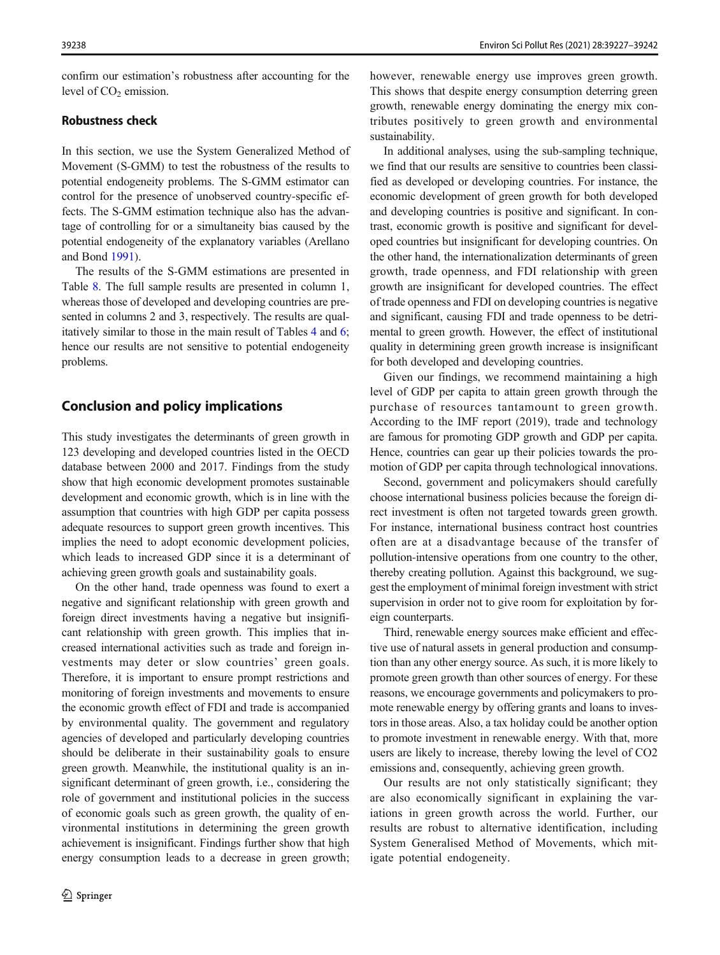<span id="page-11-0"></span>confirm our estimation's robustness after accounting for the level of  $CO<sub>2</sub>$  emission.

## Robustness check

In this section, we use the System Generalized Method of Movement (S-GMM) to test the robustness of the results to potential endogeneity problems. The S-GMM estimator can control for the presence of unobserved country-specific effects. The S-GMM estimation technique also has the advantage of controlling for or a simultaneity bias caused by the potential endogeneity of the explanatory variables (Arellano and Bond [1991](#page-13-0)).

The results of the S-GMM estimations are presented in Table [8](#page-10-0). The full sample results are presented in column 1, whereas those of developed and developing countries are presented in columns 2 and 3, respectively. The results are qualitatively similar to those in the main result of Tables [4](#page-7-0) and [6](#page-8-0); hence our results are not sensitive to potential endogeneity problems.

## Conclusion and policy implications

This study investigates the determinants of green growth in 123 developing and developed countries listed in the OECD database between 2000 and 2017. Findings from the study show that high economic development promotes sustainable development and economic growth, which is in line with the assumption that countries with high GDP per capita possess adequate resources to support green growth incentives. This implies the need to adopt economic development policies, which leads to increased GDP since it is a determinant of achieving green growth goals and sustainability goals.

On the other hand, trade openness was found to exert a negative and significant relationship with green growth and foreign direct investments having a negative but insignificant relationship with green growth. This implies that increased international activities such as trade and foreign investments may deter or slow countries' green goals. Therefore, it is important to ensure prompt restrictions and monitoring of foreign investments and movements to ensure the economic growth effect of FDI and trade is accompanied by environmental quality. The government and regulatory agencies of developed and particularly developing countries should be deliberate in their sustainability goals to ensure green growth. Meanwhile, the institutional quality is an insignificant determinant of green growth, i.e., considering the role of government and institutional policies in the success of economic goals such as green growth, the quality of environmental institutions in determining the green growth achievement is insignificant. Findings further show that high energy consumption leads to a decrease in green growth; however, renewable energy use improves green growth. This shows that despite energy consumption deterring green growth, renewable energy dominating the energy mix contributes positively to green growth and environmental sustainability.

In additional analyses, using the sub-sampling technique, we find that our results are sensitive to countries been classified as developed or developing countries. For instance, the economic development of green growth for both developed and developing countries is positive and significant. In contrast, economic growth is positive and significant for developed countries but insignificant for developing countries. On the other hand, the internationalization determinants of green growth, trade openness, and FDI relationship with green growth are insignificant for developed countries. The effect of trade openness and FDI on developing countries is negative and significant, causing FDI and trade openness to be detrimental to green growth. However, the effect of institutional quality in determining green growth increase is insignificant for both developed and developing countries.

Given our findings, we recommend maintaining a high level of GDP per capita to attain green growth through the purchase of resources tantamount to green growth. According to the IMF report (2019), trade and technology are famous for promoting GDP growth and GDP per capita. Hence, countries can gear up their policies towards the promotion of GDP per capita through technological innovations.

Second, government and policymakers should carefully choose international business policies because the foreign direct investment is often not targeted towards green growth. For instance, international business contract host countries often are at a disadvantage because of the transfer of pollution-intensive operations from one country to the other, thereby creating pollution. Against this background, we suggest the employment of minimal foreign investment with strict supervision in order not to give room for exploitation by foreign counterparts.

Third, renewable energy sources make efficient and effective use of natural assets in general production and consumption than any other energy source. As such, it is more likely to promote green growth than other sources of energy. For these reasons, we encourage governments and policymakers to promote renewable energy by offering grants and loans to investors in those areas. Also, a tax holiday could be another option to promote investment in renewable energy. With that, more users are likely to increase, thereby lowing the level of CO2 emissions and, consequently, achieving green growth.

Our results are not only statistically significant; they are also economically significant in explaining the variations in green growth across the world. Further, our results are robust to alternative identification, including System Generalised Method of Movements, which mitigate potential endogeneity.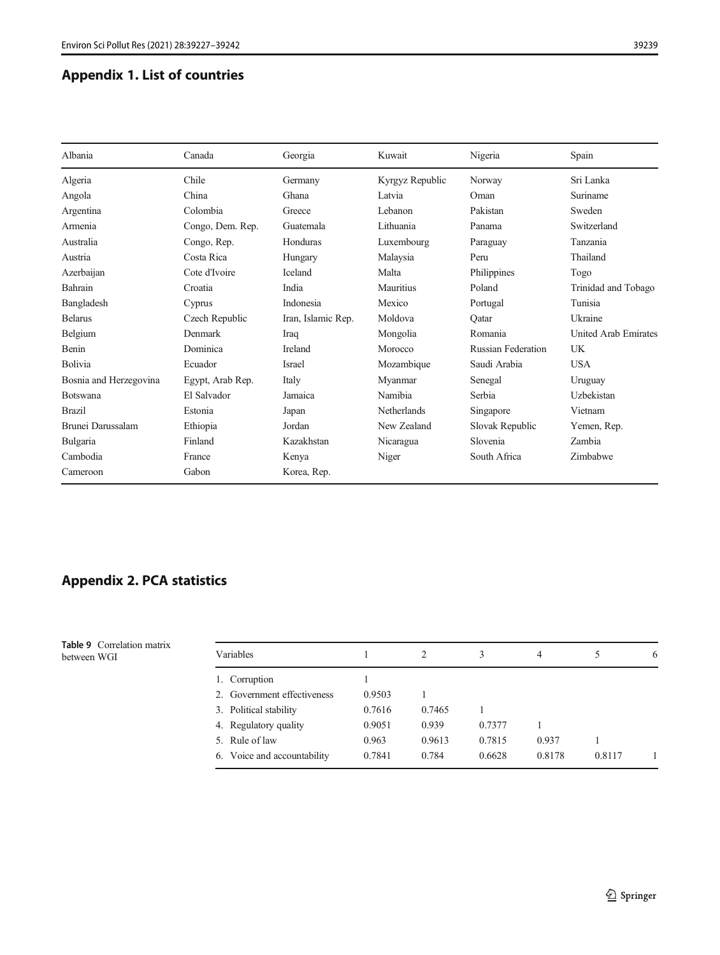## <span id="page-12-0"></span>Appendix 1. List of countries

| Albania                | Canada           | Georgia            | Kuwait          | Nigeria                   | Spain                       |
|------------------------|------------------|--------------------|-----------------|---------------------------|-----------------------------|
| Algeria                | Chile            | Germany            | Kyrgyz Republic | Norway                    | Sri Lanka                   |
| Angola                 | China            | Ghana              | Latvia          | Oman                      | Suriname                    |
| Argentina              | Colombia         | Greece             | Lebanon         | Pakistan                  | Sweden                      |
| Armenia                | Congo, Dem. Rep. | Guatemala          | Lithuania       | Panama                    | Switzerland                 |
| Australia              | Congo, Rep.      | Honduras           | Luxembourg      | Paraguay                  | Tanzania                    |
| Austria                | Costa Rica       | Hungary            | Malaysia        | Peru                      | Thailand                    |
| Azerbaijan             | Cote d'Ivoire    | Iceland            | Malta           | Philippines               | Togo                        |
| Bahrain                | Croatia          | India              | Mauritius       | Poland                    | Trinidad and Tobago         |
| Bangladesh             | Cyprus           | Indonesia          | Mexico          | Portugal                  | Tunisia                     |
| <b>Belarus</b>         | Czech Republic   | Iran, Islamic Rep. | Moldova         | Oatar                     | Ukraine                     |
| Belgium                | Denmark          | Iraq               | Mongolia        | Romania                   | <b>United Arab Emirates</b> |
| Benin                  | Dominica         | <b>Ireland</b>     | Morocco         | <b>Russian Federation</b> | <b>UK</b>                   |
| Bolivia                | Ecuador          | Israel             | Mozambique      | Saudi Arabia              | <b>USA</b>                  |
| Bosnia and Herzegovina | Egypt, Arab Rep. | Italy              | Myanmar         | Senegal                   | Uruguay                     |
| <b>Botswana</b>        | El Salvador      | Jamaica            | Namibia         | Serbia                    | Uzbekistan                  |
| <b>Brazil</b>          | Estonia          | Japan              | Netherlands     | Singapore                 | Vietnam                     |
| Brunei Darussalam      | Ethiopia         | Jordan             | New Zealand     | Slovak Republic           | Yemen, Rep.                 |
| Bulgaria               | Finland          | Kazakhstan         | Nicaragua       | Slovenia                  | Zambia                      |
| Cambodia               | France           | Kenya              | Niger           | South Africa              | Zimbabwe                    |
| Cameroon               | Gabon            | Korea, Rep.        |                 |                           |                             |

## Appendix 2. PCA statistics

|             | <b>Table 9</b> Correlation matrix |  |
|-------------|-----------------------------------|--|
| between WGI |                                   |  |

| <b>Table 9</b> Correlation matrix<br>between WGI | Variables                   |        |        |        | 4      |        | 6 |
|--------------------------------------------------|-----------------------------|--------|--------|--------|--------|--------|---|
|                                                  | 1. Corruption               |        |        |        |        |        |   |
|                                                  | 2. Government effectiveness | 0.9503 |        |        |        |        |   |
|                                                  | 3. Political stability      | 0.7616 | 0.7465 |        |        |        |   |
|                                                  | 4. Regulatory quality       | 0.9051 | 0.939  | 0.7377 |        |        |   |
|                                                  | 5. Rule of law              | 0.963  | 0.9613 | 0.7815 | 0.937  |        |   |
|                                                  | 6. Voice and accountability | 0.7841 | 0.784  | 0.6628 | 0.8178 | 0.8117 |   |
|                                                  |                             |        |        |        |        |        |   |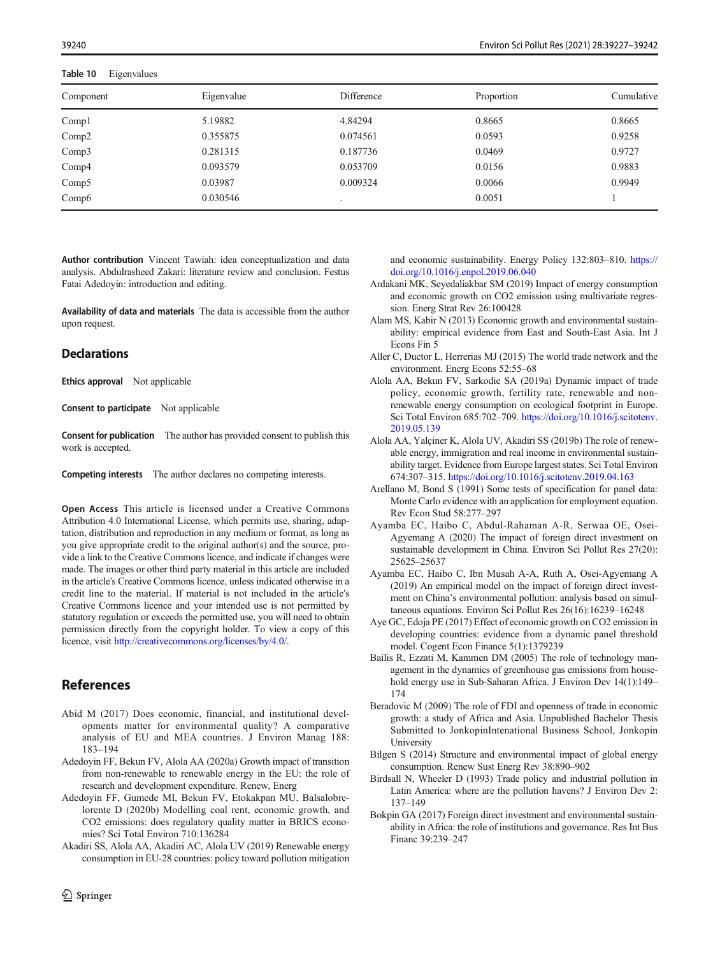<span id="page-13-0"></span>Table 10 Eigenvalues

| Component | Eigenvalue | Difference | Proportion | Cumulative |
|-----------|------------|------------|------------|------------|
| Comp1     | 5.19882    | 4.84294    | 0.8665     | 0.8665     |
| Comp2     | 0.355875   | 0.074561   | 0.0593     | 0.9258     |
| Comp3     | 0.281315   | 0.187736   | 0.0469     | 0.9727     |
| Comp4     | 0.093579   | 0.053709   | 0.0156     | 0.9883     |
| Comp5     | 0.03987    | 0.009324   | 0.0066     | 0.9949     |
| Comp6     | 0.030546   |            | 0.0051     |            |

Author contribution Vincent Tawiah: idea conceptualization and data analysis. Abdulrasheed Zakari: literature review and conclusion. Festus Fatai Adedoyin: introduction and editing.

Availability of data and materials The data is accessible from the author upon request.

#### **Declarations**

Ethics approval Not applicable

Consent to participate Not applicable

Consent for publication The author has provided consent to publish this work is accepted.

Competing interests The author declares no competing interests.

Open Access This article is licensed under a Creative Commons Attribution 4.0 International License, which permits use, sharing, adaptation, distribution and reproduction in any medium or format, as long as you give appropriate credit to the original author(s) and the source, provide a link to the Creative Commons licence, and indicate if changes were made. The images or other third party material in this article are included in the article's Creative Commons licence, unless indicated otherwise in a credit line to the material. If material is not included in the article's Creative Commons licence and your intended use is not permitted by statutory regulation or exceeds the permitted use, you will need to obtain permission directly from the copyright holder. To view a copy of this licence, visit <http://creativecommons.org/licenses/by/4.0/>.

## References

- Abid M (2017) Does economic, financial, and institutional developments matter for environmental quality? A comparative analysis of EU and MEA countries. J Environ Manag 188: 183–194
- Adedoyin FF, Bekun FV, Alola AA (2020a) Growth impact of transition from non-renewable to renewable energy in the EU: the role of research and development expenditure. Renew, Energ
- Adedoyin FF, Gumede MI, Bekun FV, Etokakpan MU, Balsalobrelorente D (2020b) Modelling coal rent, economic growth, and CO2 emissions: does regulatory quality matter in BRICS economies? Sci Total Environ 710:136284
- Akadiri SS, Alola AA, Akadiri AC, Alola UV (2019) Renewable energy consumption in EU-28 countries: policy toward pollution mitigation

and economic sustainability. Energy Policy 132:803–810. [https://](https://doi.org/10.1016/j.enpol.2019.06.040) [doi.org/10.1016/j.enpol.2019.06.040](https://doi.org/10.1016/j.enpol.2019.06.040)

- Ardakani MK, Seyedaliakbar SM (2019) Impact of energy consumption and economic growth on CO2 emission using multivariate regression. Energ Strat Rev 26:100428
- Alam MS, Kabir N (2013) Economic growth and environmental sustainability: empirical evidence from East and South-East Asia. Int J Econs Fin 5
- Aller C, Ductor L, Herrerias MJ (2015) The world trade network and the environment. Energ Econs 52:55–68
- Alola AA, Bekun FV, Sarkodie SA (2019a) Dynamic impact of trade policy, economic growth, fertility rate, renewable and nonrenewable energy consumption on ecological footprint in Europe. Sci Total Environ 685:702-709. [https://doi.org/10.1016/j.scitotenv.](https://doi.org/10.1016/j.scitotenv.2019.05.139) [2019.05.139](https://doi.org/10.1016/j.scitotenv.2019.05.139)
- Alola AA, Yalçiner K, Alola UV, Akadiri SS (2019b) The role of renewable energy, immigration and real income in environmental sustainability target. Evidence from Europe largest states. Sci Total Environ 674:307–315. <https://doi.org/10.1016/j.scitotenv.2019.04.163>
- Arellano M, Bond S (1991) Some tests of specification for panel data: Monte Carlo evidence with an application for employment equation. Rev Econ Stud 58:277–297
- Ayamba EC, Haibo C, Abdul-Rahaman A-R, Serwaa OE, Osei-Agyemang A (2020) The impact of foreign direct investment on sustainable development in China. Environ Sci Pollut Res 27(20): 25625–25637
- Ayamba EC, Haibo C, Ibn Musah A-A, Ruth A, Osei-Agyemang A (2019) An empirical model on the impact of foreign direct investment on China's environmental pollution: analysis based on simultaneous equations. Environ Sci Pollut Res 26(16):16239–16248
- Aye GC, Edoja PE (2017) Effect of economic growth on CO2 emission in developing countries: evidence from a dynamic panel threshold model. Cogent Econ Finance 5(1):1379239
- Bailis R, Ezzati M, Kammen DM (2005) The role of technology management in the dynamics of greenhouse gas emissions from household energy use in Sub-Saharan Africa. J Environ Dev 14(1):149– 174
- Beradovic M (2009) The role of FDI and openness of trade in economic growth: a study of Africa and Asia. Unpublished Bachelor Thesis Submitted to JonkopinIntenational Business School, Jonkopin **University**
- Bilgen S (2014) Structure and environmental impact of global energy consumption. Renew Sust Energ Rev 38:890–902
- Birdsall N, Wheeler D (1993) Trade policy and industrial pollution in Latin America: where are the pollution havens? J Environ Dev 2: 137–149
- Bokpin GA (2017) Foreign direct investment and environmental sustainability in Africa: the role of institutions and governance. Res Int Bus Financ 39:239–247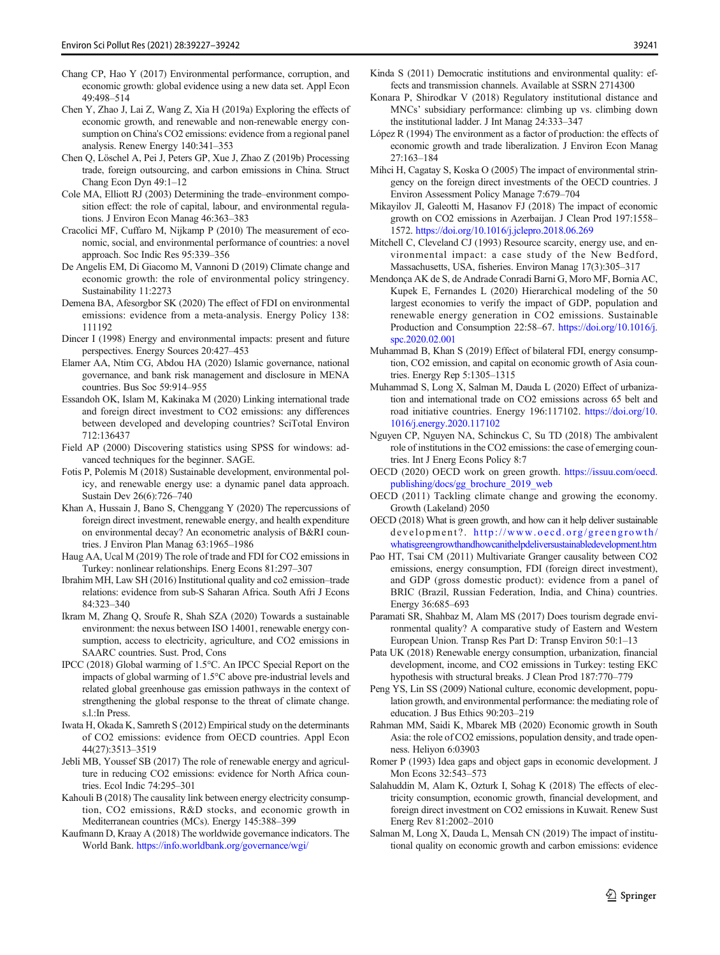- <span id="page-14-0"></span>Chen Y, Zhao J, Lai Z, Wang Z, Xia H (2019a) Exploring the effects of economic growth, and renewable and non-renewable energy consumption on China's CO2 emissions: evidence from a regional panel analysis. Renew Energy 140:341–353
- Chen Q, Löschel A, Pei J, Peters GP, Xue J, Zhao Z (2019b) Processing trade, foreign outsourcing, and carbon emissions in China. Struct Chang Econ Dyn 49:1–12
- Cole MA, Elliott RJ (2003) Determining the trade–environment composition effect: the role of capital, labour, and environmental regulations. J Environ Econ Manag 46:363–383
- Cracolici MF, Cuffaro M, Nijkamp P (2010) The measurement of economic, social, and environmental performance of countries: a novel approach. Soc Indic Res 95:339–356
- De Angelis EM, Di Giacomo M, Vannoni D (2019) Climate change and economic growth: the role of environmental policy stringency. Sustainability 11:2273
- Demena BA, Afesorgbor SK (2020) The effect of FDI on environmental emissions: evidence from a meta-analysis. Energy Policy 138: 111192
- Dincer I (1998) Energy and environmental impacts: present and future perspectives. Energy Sources 20:427–453
- Elamer AA, Ntim CG, Abdou HA (2020) Islamic governance, national governance, and bank risk management and disclosure in MENA countries. Bus Soc 59:914–955
- Essandoh OK, Islam M, Kakinaka M (2020) Linking international trade and foreign direct investment to CO2 emissions: any differences between developed and developing countries? SciTotal Environ 712:136437
- Field AP (2000) Discovering statistics using SPSS for windows: advanced techniques for the beginner. SAGE.
- Fotis P, Polemis M (2018) Sustainable development, environmental policy, and renewable energy use: a dynamic panel data approach. Sustain Dev 26(6):726–740
- Khan A, Hussain J, Bano S, Chenggang Y (2020) The repercussions of foreign direct investment, renewable energy, and health expenditure on environmental decay? An econometric analysis of B&RI countries. J Environ Plan Manag 63:1965–1986
- Haug AA, Ucal M (2019) The role of trade and FDI for CO2 emissions in Turkey: nonlinear relationships. Energ Econs 81:297–307
- Ibrahim MH, Law SH (2016) Institutional quality and co2 emission–trade relations: evidence from sub-S Saharan Africa. South Afri J Econs 84:323–340
- Ikram M, Zhang Q, Sroufe R, Shah SZA (2020) Towards a sustainable environment: the nexus between ISO 14001, renewable energy consumption, access to electricity, agriculture, and CO2 emissions in SAARC countries. Sust. Prod, Cons
- IPCC (2018) Global warming of 1.5°C. An IPCC Special Report on the impacts of global warming of 1.5°C above pre-industrial levels and related global greenhouse gas emission pathways in the context of strengthening the global response to the threat of climate change. s.l.:In Press.
- Iwata H, Okada K, Samreth S (2012) Empirical study on the determinants of CO2 emissions: evidence from OECD countries. Appl Econ 44(27):3513–3519
- Jebli MB, Youssef SB (2017) The role of renewable energy and agriculture in reducing CO2 emissions: evidence for North Africa countries. Ecol Indic 74:295–301
- Kahouli B (2018) The causality link between energy electricity consumption, CO2 emissions, R&D stocks, and economic growth in Mediterranean countries (MCs). Energy 145:388–399
- Kaufmann D, Kraay A (2018) The worldwide governance indicators. The World Bank. <https://info.worldbank.org/governance/wgi/>
- Kinda S (2011) Democratic institutions and environmental quality: effects and transmission channels. Available at SSRN 2714300
- Konara P, Shirodkar V (2018) Regulatory institutional distance and MNCs' subsidiary performance: climbing up vs. climbing down the institutional ladder. J Int Manag 24:333–347
- López R (1994) The environment as a factor of production: the effects of economic growth and trade liberalization. J Environ Econ Manag 27:163–184
- Mihci H, Cagatay S, Koska O (2005) The impact of environmental stringency on the foreign direct investments of the OECD countries. J Environ Assessment Policy Manage 7:679–704
- Mikayilov JI, Galeotti M, Hasanov FJ (2018) The impact of economic growth on CO2 emissions in Azerbaijan. J Clean Prod 197:1558– 1572. <https://doi.org/10.1016/j.jclepro.2018.06.269>
- Mitchell C, Cleveland CJ (1993) Resource scarcity, energy use, and environmental impact: a case study of the New Bedford, Massachusetts, USA, fisheries. Environ Manag 17(3):305–317
- Mendonça AK de S, de Andrade Conradi Barni G, Moro MF, Bornia AC, Kupek E, Fernandes L (2020) Hierarchical modeling of the 50 largest economies to verify the impact of GDP, population and renewable energy generation in CO2 emissions. Sustainable Production and Consumption 22:58–67. [https://doi.org/10.1016/j.](https://doi.org/10.1016/j.spc.2020.02.001) [spc.2020.02.001](https://doi.org/10.1016/j.spc.2020.02.001)
- Muhammad B, Khan S (2019) Effect of bilateral FDI, energy consumption, CO2 emission, and capital on economic growth of Asia countries. Energy Rep 5:1305–1315
- Muhammad S, Long X, Salman M, Dauda L (2020) Effect of urbanization and international trade on CO2 emissions across 65 belt and road initiative countries. Energy 196:117102. [https://doi.org/10.](https://doi.org/10.1016/j.energy.2020.117102) [1016/j.energy.2020.117102](https://doi.org/10.1016/j.energy.2020.117102)
- Nguyen CP, Nguyen NA, Schinckus C, Su TD (2018) The ambivalent role of institutions in the CO2 emissions: the case of emerging countries. Int J Energ Econs Policy 8:7
- OECD (2020) OECD work on green growth. [https://issuu.com/oecd.](https://doi.org/10.1016/j.energy.2020.117102) [publishing/docs/gg\\_brochure\\_2019\\_web](https://doi.org/10.1016/j.energy.2020.117102)
- OECD (2011) Tackling climate change and growing the economy. Growth (Lakeland) 2050
- OECD (2018) What is green growth, and how can it help deliver sustainable development?. [http://www.oecd.org/greengrowth/](http://www.oecd.org/greengrowth/whatisgreengrowthandhowcanithelpdeliversustainabledevelopment.htm) [whatisgreengrowthandhowcanithelpdeliversustainabledevelopment.htm](http://www.oecd.org/greengrowth/whatisgreengrowthandhowcanithelpdeliversustainabledevelopment.htm)
- Pao HT, Tsai CM (2011) Multivariate Granger causality between CO2 emissions, energy consumption, FDI (foreign direct investment), and GDP (gross domestic product): evidence from a panel of BRIC (Brazil, Russian Federation, India, and China) countries. Energy 36:685–693
- Paramati SR, Shahbaz M, Alam MS (2017) Does tourism degrade environmental quality? A comparative study of Eastern and Western European Union. Transp Res Part D: Transp Environ 50:1–13
- Pata UK (2018) Renewable energy consumption, urbanization, financial development, income, and CO2 emissions in Turkey: testing EKC hypothesis with structural breaks. J Clean Prod 187:770–779
- Peng YS, Lin SS (2009) National culture, economic development, population growth, and environmental performance: the mediating role of education. J Bus Ethics 90:203–219
- Rahman MM, Saidi K, Mbarek MB (2020) Economic growth in South Asia: the role of CO2 emissions, population density, and trade openness. Heliyon 6:03903
- Romer P (1993) Idea gaps and object gaps in economic development. J Mon Econs 32:543–573
- Salahuddin M, Alam K, Ozturk I, Sohag K (2018) The effects of electricity consumption, economic growth, financial development, and foreign direct investment on CO2 emissions in Kuwait. Renew Sust Energ Rev 81:2002–2010
- Salman M, Long X, Dauda L, Mensah CN (2019) The impact of institutional quality on economic growth and carbon emissions: evidence